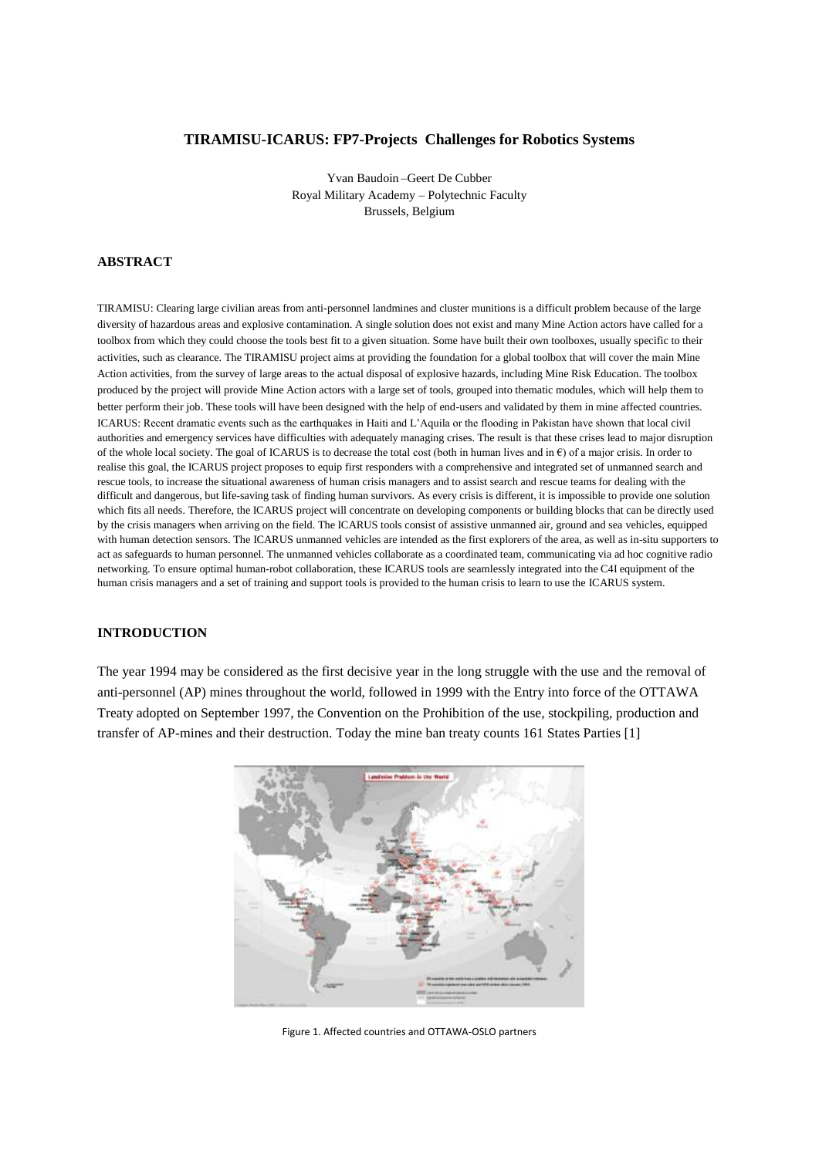## **TIRAMISU-ICARUS: FP7-Projects Challenges for Robotics Systems**

Yvan Baudoin –Geert De Cubber Royal Military Academy – Polytechnic Faculty Brussels, Belgium

## **ABSTRACT**

TIRAMISU: Clearing large civilian areas from anti-personnel landmines and cluster munitions is a difficult problem because of the large diversity of hazardous areas and explosive contamination. A single solution does not exist and many Mine Action actors have called for a toolbox from which they could choose the tools best fit to a given situation. Some have built their own toolboxes, usually specific to their activities, such as clearance. The TIRAMISU project aims at providing the foundation for a global toolbox that will cover the main Mine Action activities, from the survey of large areas to the actual disposal of explosive hazards, including Mine Risk Education. The toolbox produced by the project will provide Mine Action actors with a large set of tools, grouped into thematic modules, which will help them to better perform their job. These tools will have been designed with the help of end-users and validated by them in mine affected countries. ICARUS: Recent dramatic events such as the earthquakes in Haiti and L'Aquila or the flooding in Pakistan have shown that local civil authorities and emergency services have difficulties with adequately managing crises. The result is that these crises lead to major disruption of the whole local society. The goal of ICARUS is to decrease the total cost (both in human lives and in  $\epsilon$ ) of a major crisis. In order to realise this goal, the ICARUS project proposes to equip first responders with a comprehensive and integrated set of unmanned search and rescue tools, to increase the situational awareness of human crisis managers and to assist search and rescue teams for dealing with the difficult and dangerous, but life-saving task of finding human survivors. As every crisis is different, it is impossible to provide one solution which fits all needs. Therefore, the ICARUS project will concentrate on developing components or building blocks that can be directly used by the crisis managers when arriving on the field. The ICARUS tools consist of assistive unmanned air, ground and sea vehicles, equipped with human detection sensors. The ICARUS unmanned vehicles are intended as the first explorers of the area, as well as in-situ supporters to act as safeguards to human personnel. The unmanned vehicles collaborate as a coordinated team, communicating via ad hoc cognitive radio networking. To ensure optimal human-robot collaboration, these ICARUS tools are seamlessly integrated into the C4I equipment of the human crisis managers and a set of training and support tools is provided to the human crisis to learn to use the ICARUS system.

### **INTRODUCTION**

The year 1994 may be considered as the first decisive year in the long struggle with the use and the removal of anti-personnel (AP) mines throughout the world, followed in 1999 with the Entry into force of the OTTAWA Treaty adopted on September 1997, the Convention on the Prohibition of the use, stockpiling, production and transfer of AP-mines and their destruction. Today the mine ban treaty counts 161 States Parties [1]



Figure 1. Affected countries and OTTAWA-OSLO partners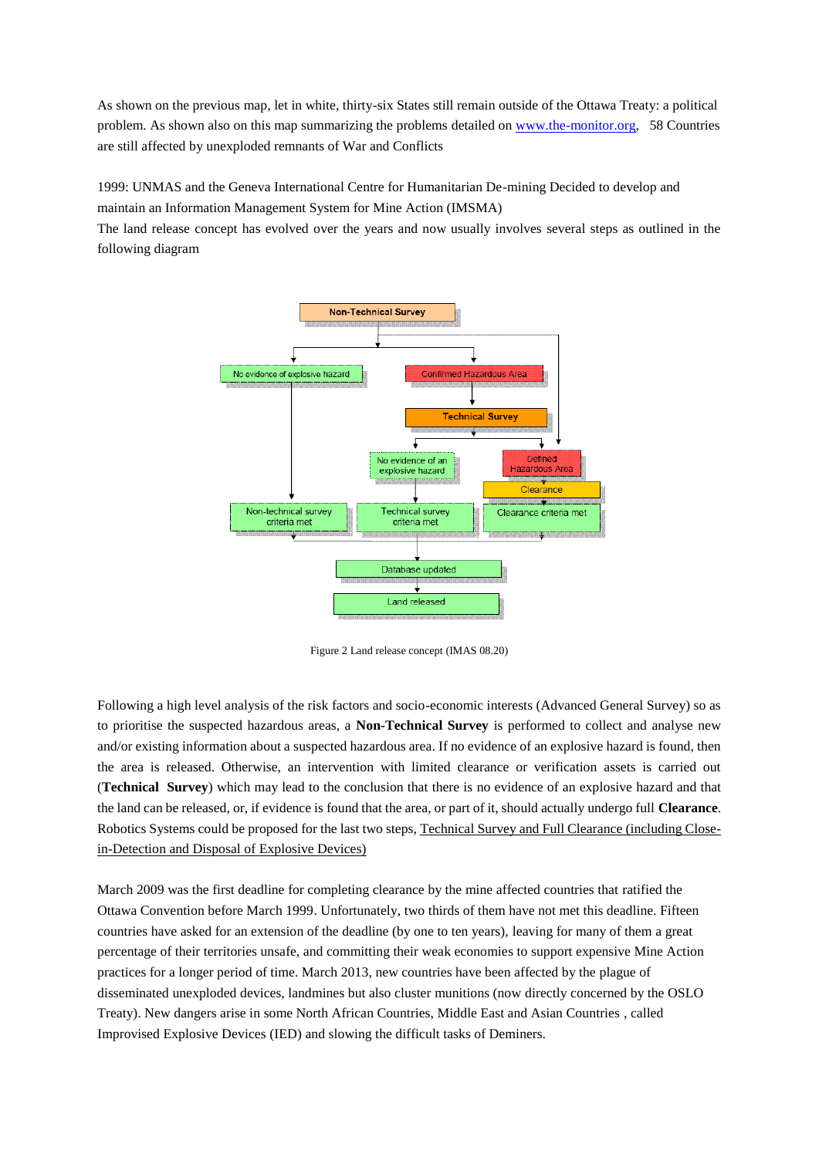As shown on the previous map, let in white, thirty-six States still remain outside of the Ottawa Treaty: a political problem. As shown also on this map summarizing the problems detailed on [www.the-monitor.org,](http://www.the-monitor.org/) 58 Countries are still affected by unexploded remnants of War and Conflicts

1999: UNMAS and the Geneva International Centre for Humanitarian De-mining Decided to develop and maintain an Information Management System for Mine Action (IMSMA)

The land release concept has evolved over the years and now usually involves several steps as outlined in the following diagram



Figure 2 Land release concept (IMAS 08.20)

Following a high level analysis of the risk factors and socio-economic interests (Advanced General Survey) so as to prioritise the suspected hazardous areas, a **Non-Technical Survey** is performed to collect and analyse new and/or existing information about a suspected hazardous area. If no evidence of an explosive hazard is found, then the area is released. Otherwise, an intervention with limited clearance or verification assets is carried out (**Technical Survey**) which may lead to the conclusion that there is no evidence of an explosive hazard and that the land can be released, or, if evidence is found that the area, or part of it, should actually undergo full **Clearance**. Robotics Systems could be proposed for the last two steps, Technical Survey and Full Clearance (including Closein-Detection and Disposal of Explosive Devices)

March 2009 was the first deadline for completing clearance by the mine affected countries that ratified the Ottawa Convention before March 1999. Unfortunately, two thirds of them have not met this deadline. Fifteen countries have asked for an extension of the deadline (by one to ten years), leaving for many of them a great percentage of their territories unsafe, and committing their weak economies to support expensive Mine Action practices for a longer period of time. March 2013, new countries have been affected by the plague of disseminated unexploded devices, landmines but also cluster munitions (now directly concerned by the OSLO Treaty). New dangers arise in some North African Countries, Middle East and Asian Countries , called Improvised Explosive Devices (IED) and slowing the difficult tasks of Deminers.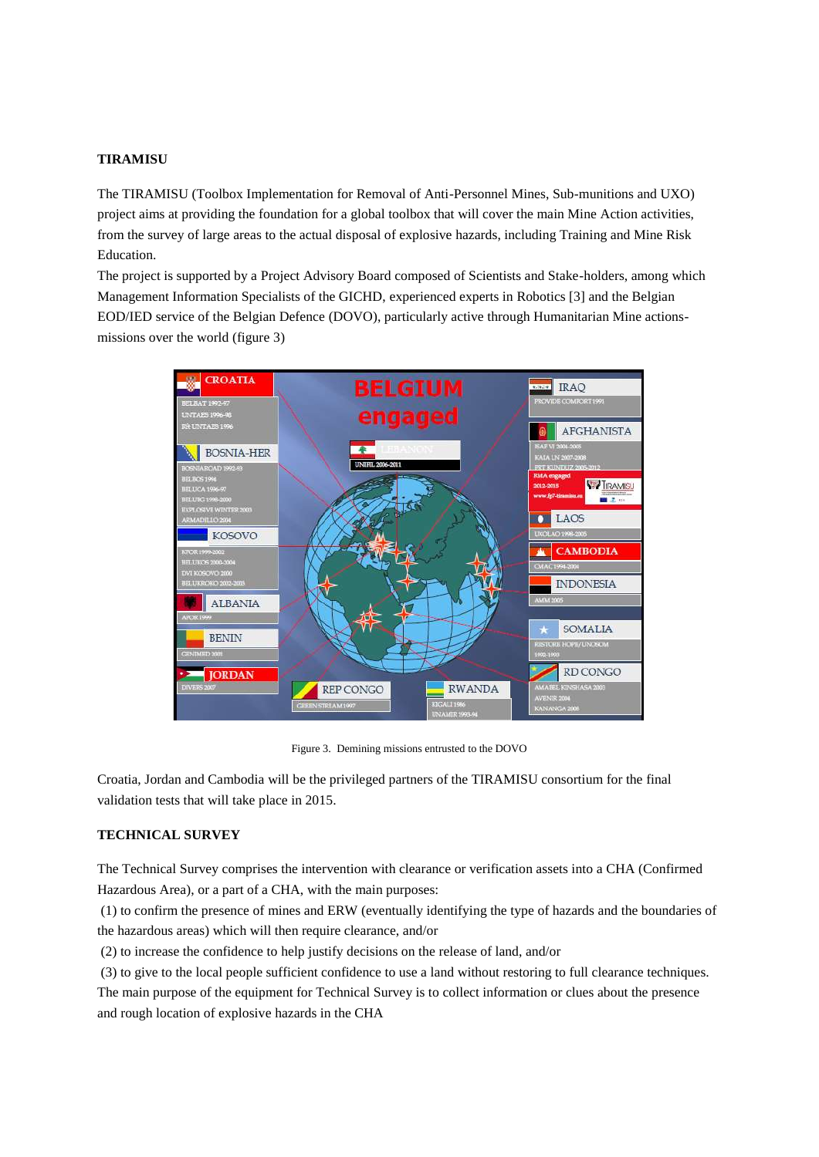## **TIRAMISU**

The TIRAMISU (Toolbox Implementation for Removal of Anti-Personnel Mines, Sub-munitions and UXO) project aims at providing the foundation for a global toolbox that will cover the main Mine Action activities, from the survey of large areas to the actual disposal of explosive hazards, including Training and Mine Risk Education.

The project is supported by a Project Advisory Board composed of Scientists and Stake-holders, among which Management Information Specialists of the GICHD, experienced experts in Robotics [3] and the Belgian EOD/IED service of the Belgian Defence (DOVO), particularly active through Humanitarian Mine actionsmissions over the world (figure 3)



Figure 3. Demining missions entrusted to the DOVO

Croatia, Jordan and Cambodia will be the privileged partners of the TIRAMISU consortium for the final validation tests that will take place in 2015.

## **TECHNICAL SURVEY**

The Technical Survey comprises the intervention with clearance or verification assets into a CHA (Confirmed Hazardous Area), or a part of a CHA, with the main purposes:

(1) to confirm the presence of mines and ERW (eventually identifying the type of hazards and the boundaries of the hazardous areas) which will then require clearance, and/or

(2) to increase the confidence to help justify decisions on the release of land, and/or

(3) to give to the local people sufficient confidence to use a land without restoring to full clearance techniques.

The main purpose of the equipment for Technical Survey is to collect information or clues about the presence and rough location of explosive hazards in the CHA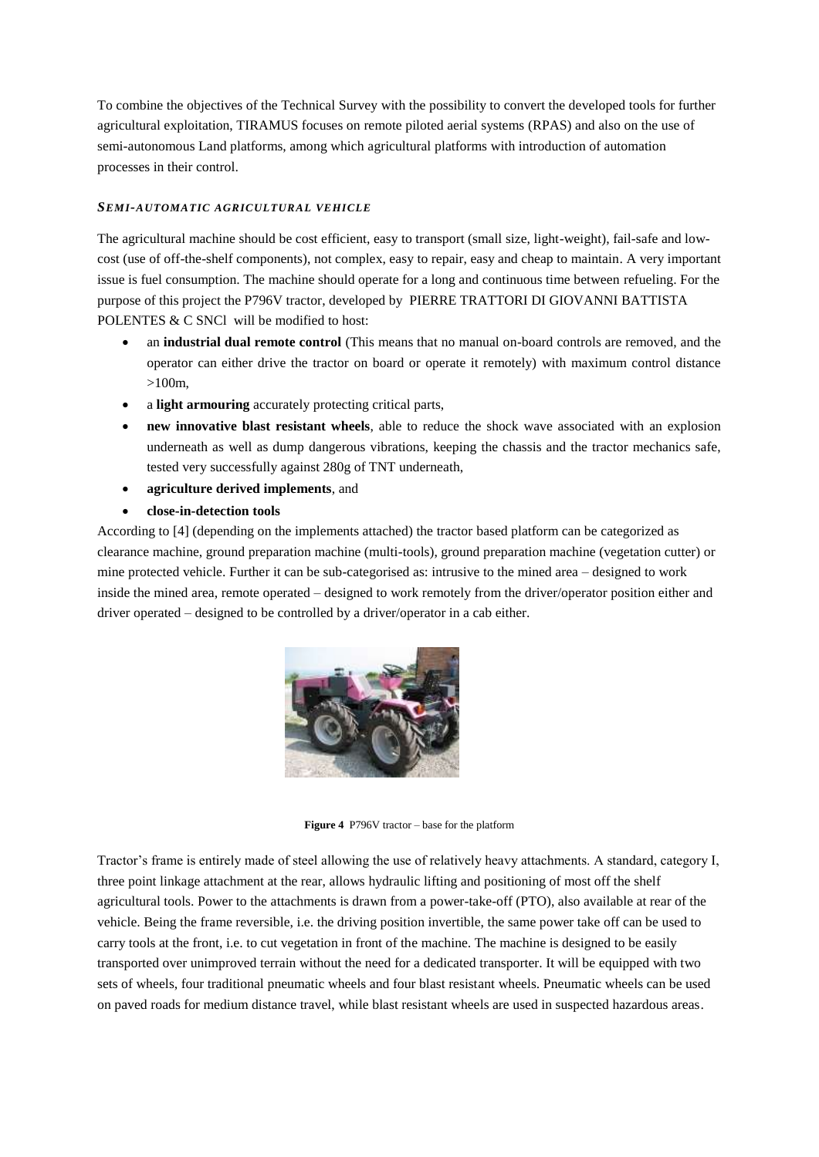To combine the objectives of the Technical Survey with the possibility to convert the developed tools for further agricultural exploitation, TIRAMUS focuses on remote piloted aerial systems (RPAS) and also on the use of semi-autonomous Land platforms, among which agricultural platforms with introduction of automation processes in their control.

## *SEMI-AUTOMATIC AGRICULTURAL VEHICLE*

The agricultural machine should be cost efficient, easy to transport (small size, light-weight), fail-safe and lowcost (use of off-the-shelf components), not complex, easy to repair, easy and cheap to maintain. A very important issue is fuel consumption. The machine should operate for a long and continuous time between refueling. For the purpose of this project the P796V tractor, developed by PIERRE TRATTORI DI GIOVANNI BATTISTA POLENTES & C SNCl will be modified to host:

- an **industrial dual remote control** (This means that no manual on-board controls are removed, and the operator can either drive the tractor on board or operate it remotely) with maximum control distance >100m,
- a **light armouring** accurately protecting critical parts,
- **new innovative blast resistant wheels**, able to reduce the shock wave associated with an explosion underneath as well as dump dangerous vibrations, keeping the chassis and the tractor mechanics safe, tested very successfully against 280g of TNT underneath,
- **agriculture derived implements**, and
- **close-in-detection tools**

According to [4] (depending on the implements attached) the tractor based platform can be categorized as clearance machine, ground preparation machine (multi-tools), ground preparation machine (vegetation cutter) or mine protected vehicle. Further it can be sub-categorised as: intrusive to the mined area – designed to work inside the mined area, remote operated – designed to work remotely from the driver/operator position either and driver operated – designed to be controlled by a driver/operator in a cab either.



**Figure 4** P796V tractor – base for the platform

Tractor's frame is entirely made of steel allowing the use of relatively heavy attachments. A standard, category I, three point linkage attachment at the rear, allows hydraulic lifting and positioning of most off the shelf agricultural tools. Power to the attachments is drawn from a power-take-off (PTO), also available at rear of the vehicle. Being the frame reversible, i.e. the driving position invertible, the same power take off can be used to carry tools at the front, i.e. to cut vegetation in front of the machine. The machine is designed to be easily transported over unimproved terrain without the need for a dedicated transporter. It will be equipped with two sets of wheels, four traditional pneumatic wheels and four blast resistant wheels. Pneumatic wheels can be used on paved roads for medium distance travel, while blast resistant wheels are used in suspected hazardous areas.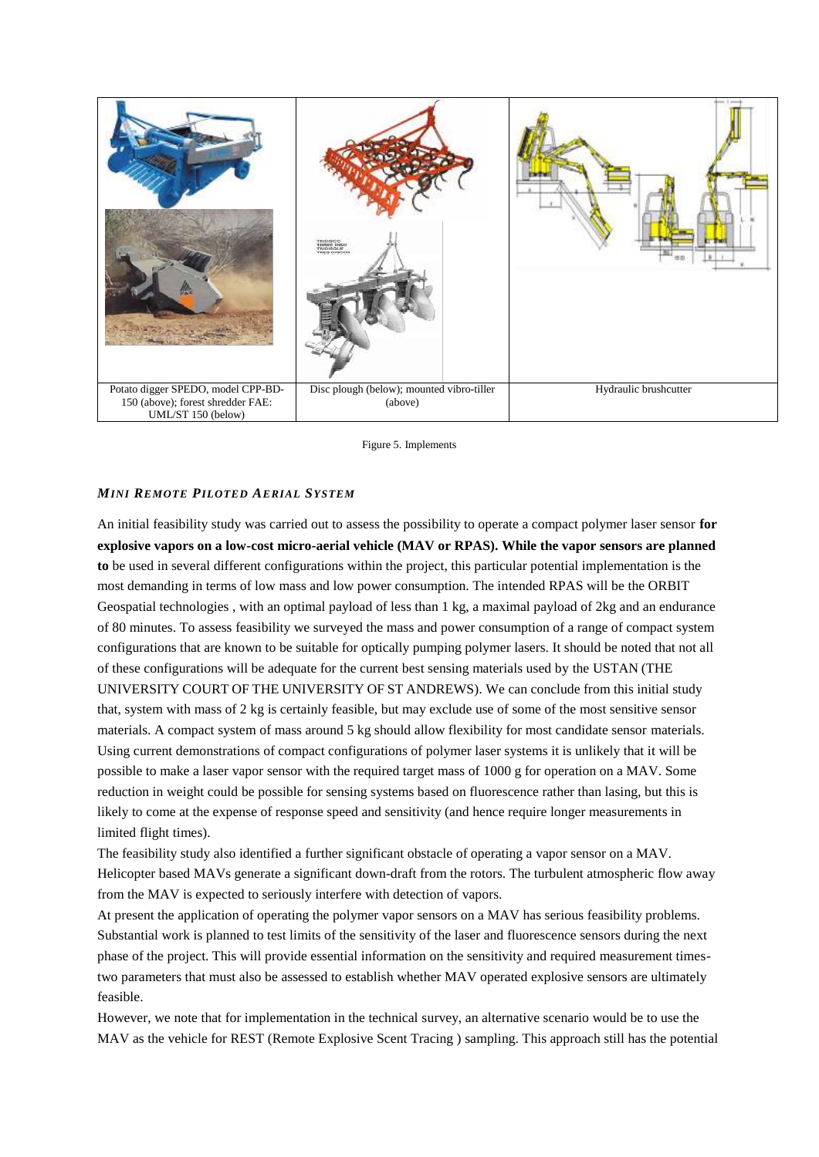

Figure 5. Implements

## *MINI REMOTE PILOTED AERIAL SYSTEM*

An initial feasibility study was carried out to assess the possibility to operate a compact polymer laser sensor **for explosive vapors on a low-cost micro-aerial vehicle (MAV or RPAS). While the vapor sensors are planned to** be used in several different configurations within the project, this particular potential implementation is the most demanding in terms of low mass and low power consumption. The intended RPAS will be the ORBIT Geospatial technologies , with an optimal payload of less than 1 kg, a maximal payload of 2kg and an endurance of 80 minutes. To assess feasibility we surveyed the mass and power consumption of a range of compact system configurations that are known to be suitable for optically pumping polymer lasers. It should be noted that not all of these configurations will be adequate for the current best sensing materials used by the USTAN (THE UNIVERSITY COURT OF THE UNIVERSITY OF ST ANDREWS). We can conclude from this initial study that, system with mass of 2 kg is certainly feasible, but may exclude use of some of the most sensitive sensor materials. A compact system of mass around 5 kg should allow flexibility for most candidate sensor materials. Using current demonstrations of compact configurations of polymer laser systems it is unlikely that it will be possible to make a laser vapor sensor with the required target mass of 1000 g for operation on a MAV. Some reduction in weight could be possible for sensing systems based on fluorescence rather than lasing, but this is likely to come at the expense of response speed and sensitivity (and hence require longer measurements in limited flight times).

The feasibility study also identified a further significant obstacle of operating a vapor sensor on a MAV. Helicopter based MAVs generate a significant down-draft from the rotors. The turbulent atmospheric flow away from the MAV is expected to seriously interfere with detection of vapors.

At present the application of operating the polymer vapor sensors on a MAV has serious feasibility problems. Substantial work is planned to test limits of the sensitivity of the laser and fluorescence sensors during the next phase of the project. This will provide essential information on the sensitivity and required measurement timestwo parameters that must also be assessed to establish whether MAV operated explosive sensors are ultimately feasible.

However, we note that for implementation in the technical survey, an alternative scenario would be to use the MAV as the vehicle for REST (Remote Explosive Scent Tracing ) sampling. This approach still has the potential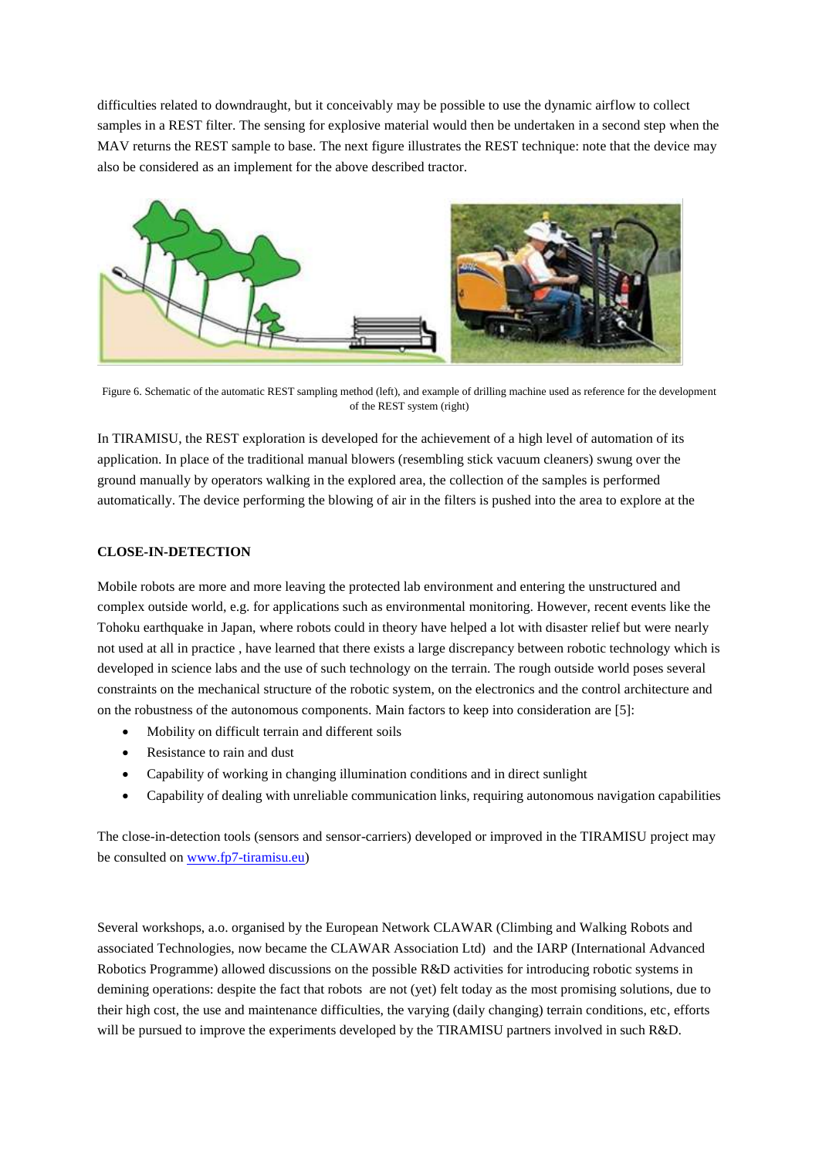difficulties related to downdraught, but it conceivably may be possible to use the dynamic airflow to collect samples in a REST filter. The sensing for explosive material would then be undertaken in a second step when the MAV returns the REST sample to base. The next figure illustrates the REST technique: note that the device may also be considered as an implement for the above described tractor.



Figure 6. Schematic of the automatic REST sampling method (left), and example of drilling machine used as reference for the development of the REST system (right)

In TIRAMISU, the REST exploration is developed for the achievement of a high level of automation of its application. In place of the traditional manual blowers (resembling stick vacuum cleaners) swung over the ground manually by operators walking in the explored area, the collection of the samples is performed automatically. The device performing the blowing of air in the filters is pushed into the area to explore at the

## **CLOSE-IN-DETECTION**

Mobile robots are more and more leaving the protected lab environment and entering the unstructured and complex outside world, e.g. for applications such as environmental monitoring. However, recent events like the Tohoku earthquake in Japan, where robots could in theory have helped a lot with disaster relief but were nearly not used at all in practice , have learned that there exists a large discrepancy between robotic technology which is developed in science labs and the use of such technology on the terrain. The rough outside world poses several constraints on the mechanical structure of the robotic system, on the electronics and the control architecture and on the robustness of the autonomous components. Main factors to keep into consideration are [5]:

- Mobility on difficult terrain and different soils
- Resistance to rain and dust
- Capability of working in changing illumination conditions and in direct sunlight
- Capability of dealing with unreliable communication links, requiring autonomous navigation capabilities

The close-in-detection tools (sensors and sensor-carriers) developed or improved in the TIRAMISU project may be consulted on [www.fp7-tiramisu.eu\)](http://www.fp7-tiramisu.eu/)

Several workshops, a.o. organised by the European Network CLAWAR (Climbing and Walking Robots and associated Technologies, now became the CLAWAR Association Ltd) and the IARP (International Advanced Robotics Programme) allowed discussions on the possible R&D activities for introducing robotic systems in demining operations: despite the fact that robots are not (yet) felt today as the most promising solutions, due to their high cost, the use and maintenance difficulties, the varying (daily changing) terrain conditions, etc, efforts will be pursued to improve the experiments developed by the TIRAMISU partners involved in such R&D.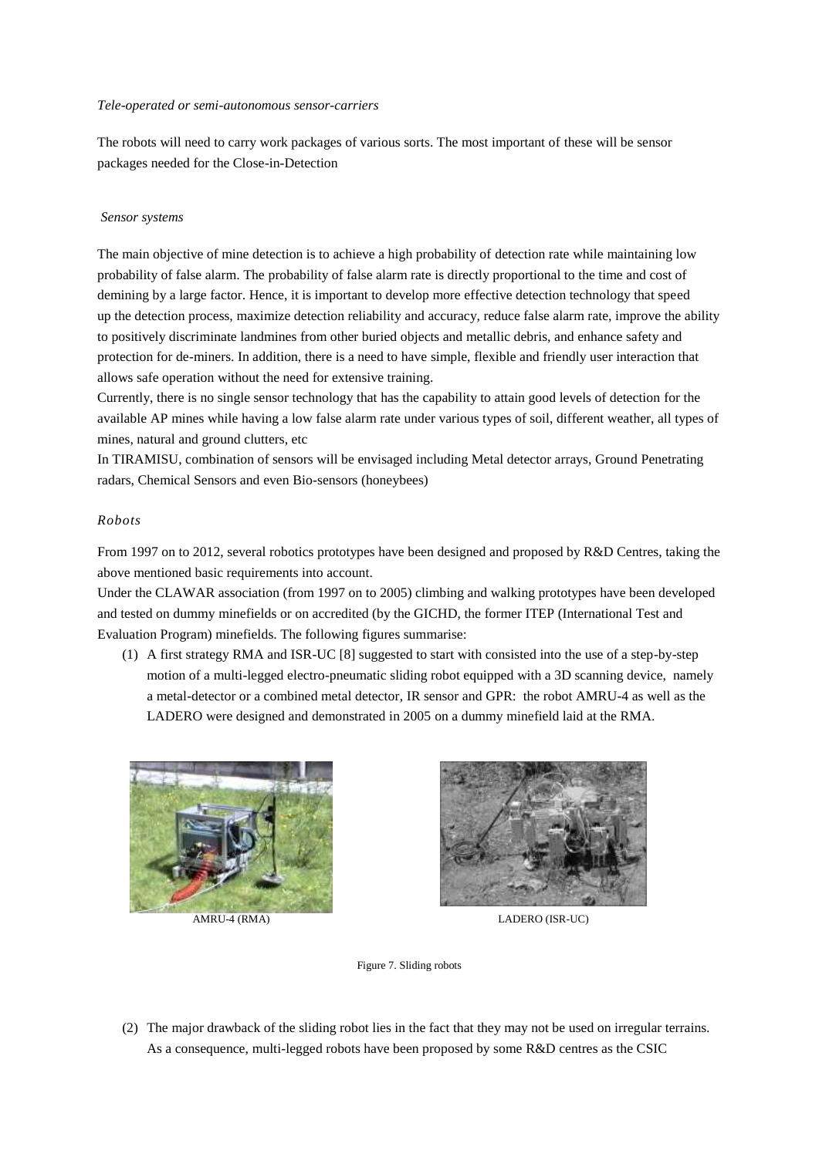#### *Tele-operated or semi-autonomous sensor-carriers*

The robots will need to carry work packages of various sorts. The most important of these will be sensor packages needed for the Close-in-Detection

### *Sensor systems*

The main objective of mine detection is to achieve a high probability of detection rate while maintaining low probability of false alarm. The probability of false alarm rate is directly proportional to the time and cost of demining by a large factor. Hence, it is important to develop more effective detection technology that speed up the detection process, maximize detection reliability and accuracy, reduce false alarm rate, improve the ability to positively discriminate landmines from other buried objects and metallic debris, and enhance safety and protection for de-miners. In addition, there is a need to have simple, flexible and friendly user interaction that allows safe operation without the need for extensive training.

Currently, there is no single sensor technology that has the capability to attain good levels of detection for the available AP mines while having a low false alarm rate under various types of soil, different weather, all types of mines, natural and ground clutters, etc

In TIRAMISU, combination of sensors will be envisaged including Metal detector arrays, Ground Penetrating radars, Chemical Sensors and even Bio-sensors (honeybees)

### *Robots*

From 1997 on to 2012, several robotics prototypes have been designed and proposed by R&D Centres, taking the above mentioned basic requirements into account.

Under the CLAWAR association (from 1997 on to 2005) climbing and walking prototypes have been developed and tested on dummy minefields or on accredited (by the GICHD, the former ITEP (International Test and Evaluation Program) minefields. The following figures summarise:

(1) A first strategy RMA and ISR-UC [8] suggested to start with consisted into the use of a step-by-step motion of a multi-legged electro-pneumatic sliding robot equipped with a 3D scanning device, namely a metal-detector or a combined metal detector, IR sensor and GPR: the robot AMRU-4 as well as the LADERO were designed and demonstrated in 2005 on a dummy minefield laid at the RMA.





AMRU-4 (RMA) LADERO (ISR-UC)

Figure 7. Sliding robots

(2) The major drawback of the sliding robot lies in the fact that they may not be used on irregular terrains. As a consequence, multi-legged robots have been proposed by some R&D centres as the CSIC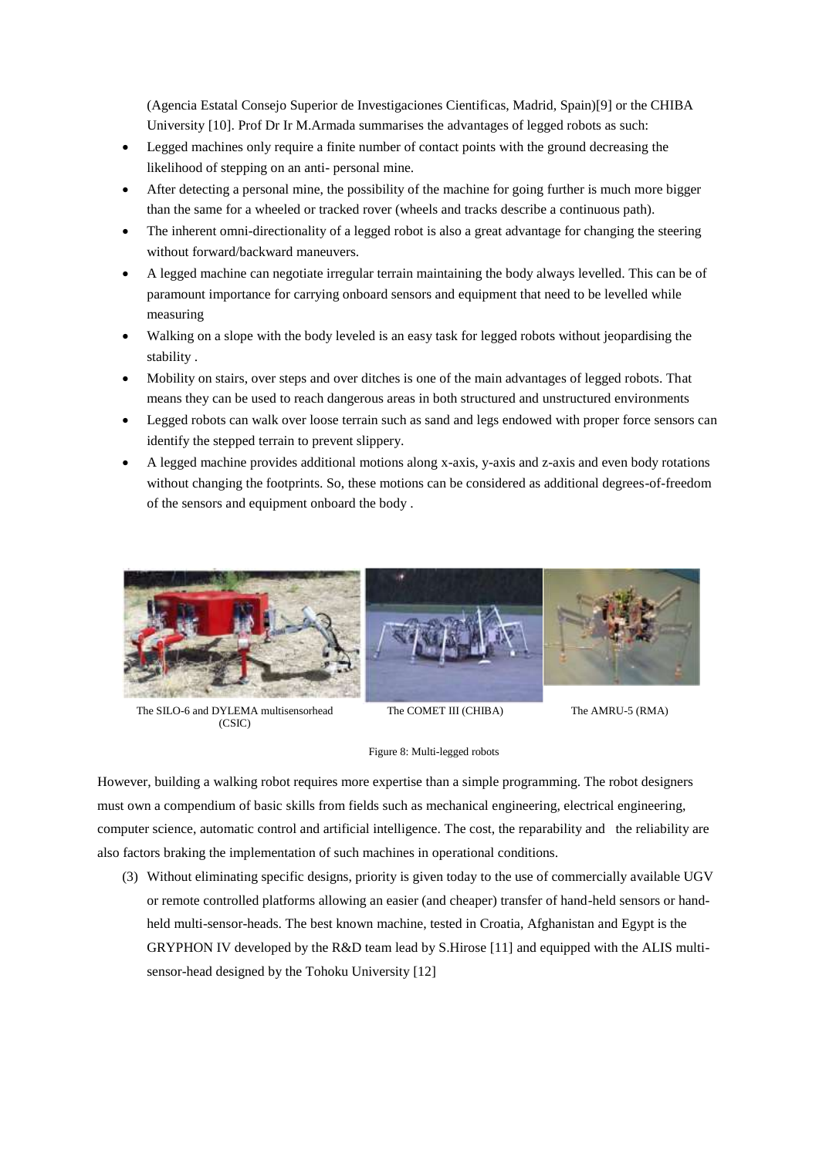(Agencia Estatal Consejo Superior de Investigaciones Cientificas, Madrid, Spain)[9] or the CHIBA University [10]. Prof Dr Ir M.Armada summarises the advantages of legged robots as such:

- Legged machines only require a finite number of contact points with the ground decreasing the likelihood of stepping on an anti- personal mine.
- After detecting a personal mine, the possibility of the machine for going further is much more bigger than the same for a wheeled or tracked rover (wheels and tracks describe a continuous path).
- The inherent omni-directionality of a legged robot is also a great advantage for changing the steering without forward/backward maneuvers.
- A legged machine can negotiate irregular terrain maintaining the body always levelled. This can be of paramount importance for carrying onboard sensors and equipment that need to be levelled while measuring
- Walking on a slope with the body leveled is an easy task for legged robots without jeopardising the stability .
- Mobility on stairs, over steps and over ditches is one of the main advantages of legged robots. That means they can be used to reach dangerous areas in both structured and unstructured environments
- Legged robots can walk over loose terrain such as sand and legs endowed with proper force sensors can identify the stepped terrain to prevent slippery.
- A legged machine provides additional motions along x-axis, y-axis and z-axis and even body rotations without changing the footprints. So, these motions can be considered as additional degrees-of-freedom of the sensors and equipment onboard the body .



The SILO-6 and DYLEMA multisensorhead (CSIC)

The COMET III (CHIBA) The AMRU-5 (RMA)

#### Figure 8: Multi-legged robots

However, building a walking robot requires more expertise than a simple programming. The robot designers must own a compendium of basic skills from fields such as mechanical engineering, electrical engineering, computer science, automatic control and artificial intelligence. The cost, the reparability and the reliability are also factors braking the implementation of such machines in operational conditions.

(3) Without eliminating specific designs, priority is given today to the use of commercially available UGV or remote controlled platforms allowing an easier (and cheaper) transfer of hand-held sensors or handheld multi-sensor-heads. The best known machine, tested in Croatia, Afghanistan and Egypt is the GRYPHON IV developed by the R&D team lead by S.Hirose [11] and equipped with the ALIS multisensor-head designed by the Tohoku University [12]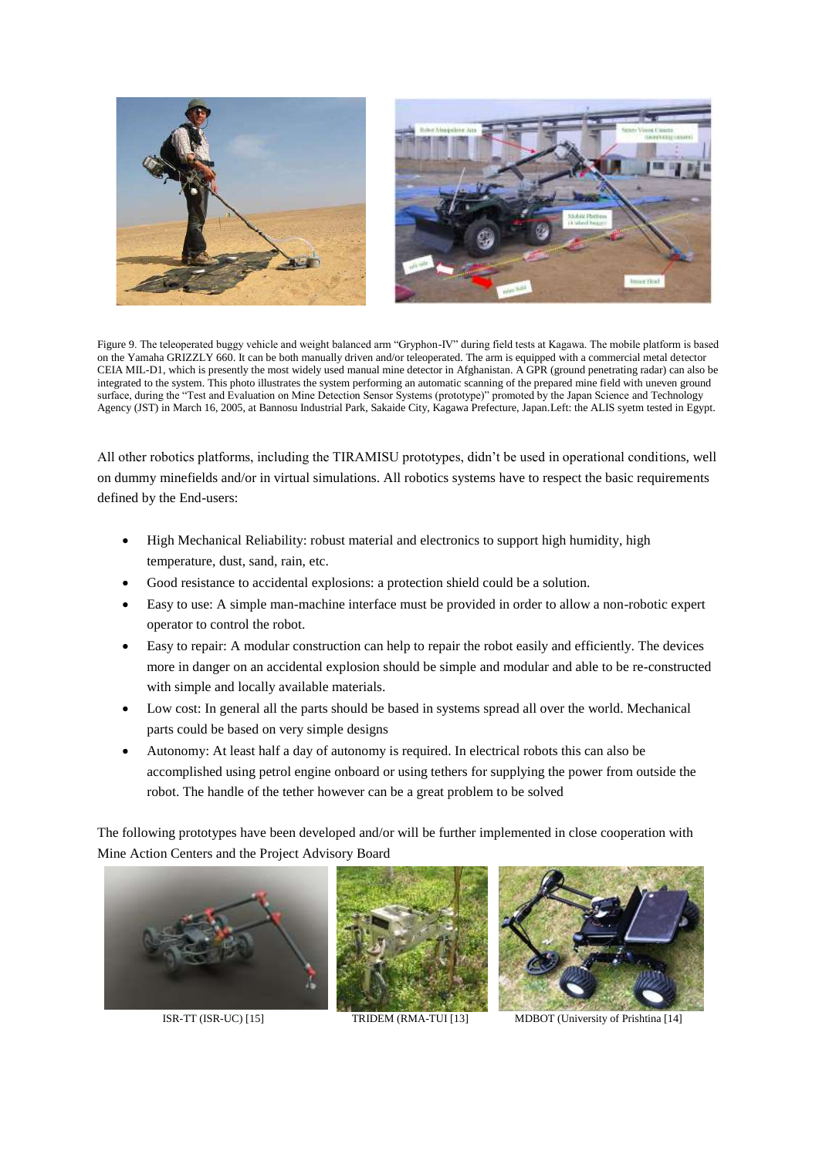



Figure 9. The teleoperated buggy vehicle and weight balanced arm "Gryphon-IV" during field tests at Kagawa. The mobile platform is based on the Yamaha GRIZZLY 660. It can be both manually driven and/or teleoperated. The arm is equipped with a commercial metal detector CEIA MIL-D1, which is presently the most widely used manual mine detector in Afghanistan. A GPR (ground penetrating radar) can also be integrated to the system. This photo illustrates the system performing an automatic scanning of the prepared mine field with uneven ground surface, during the "Test and Evaluation on Mine Detection Sensor Systems (prototype)" promoted by the Japan Science and Technology Agency (JST) in March 16, 2005, at Bannosu Industrial Park, Sakaide City, Kagawa Prefecture, Japan.Left: the ALIS syetm tested in Egypt.

All other robotics platforms, including the TIRAMISU prototypes, didn't be used in operational conditions, well on dummy minefields and/or in virtual simulations. All robotics systems have to respect the basic requirements defined by the End-users:

- High Mechanical Reliability: robust material and electronics to support high humidity, high temperature, dust, sand, rain, etc.
- Good resistance to accidental explosions: a protection shield could be a solution.
- Easy to use: A simple man-machine interface must be provided in order to allow a non-robotic expert operator to control the robot.
- Easy to repair: A modular construction can help to repair the robot easily and efficiently. The devices more in danger on an accidental explosion should be simple and modular and able to be re-constructed with simple and locally available materials.
- Low cost: In general all the parts should be based in systems spread all over the world. Mechanical parts could be based on very simple designs
- Autonomy: At least half a day of autonomy is required. In electrical robots this can also be accomplished using petrol engine onboard or using tethers for supplying the power from outside the robot. The handle of the tether however can be a great problem to be solved

The following prototypes have been developed and/or will be further implemented in close cooperation with Mine Action Centers and the Project Advisory Board







ISR-TT (ISR-UC) [15] TRIDEM (RMA-TUI [13] MDBOT (University of Prishtina [14]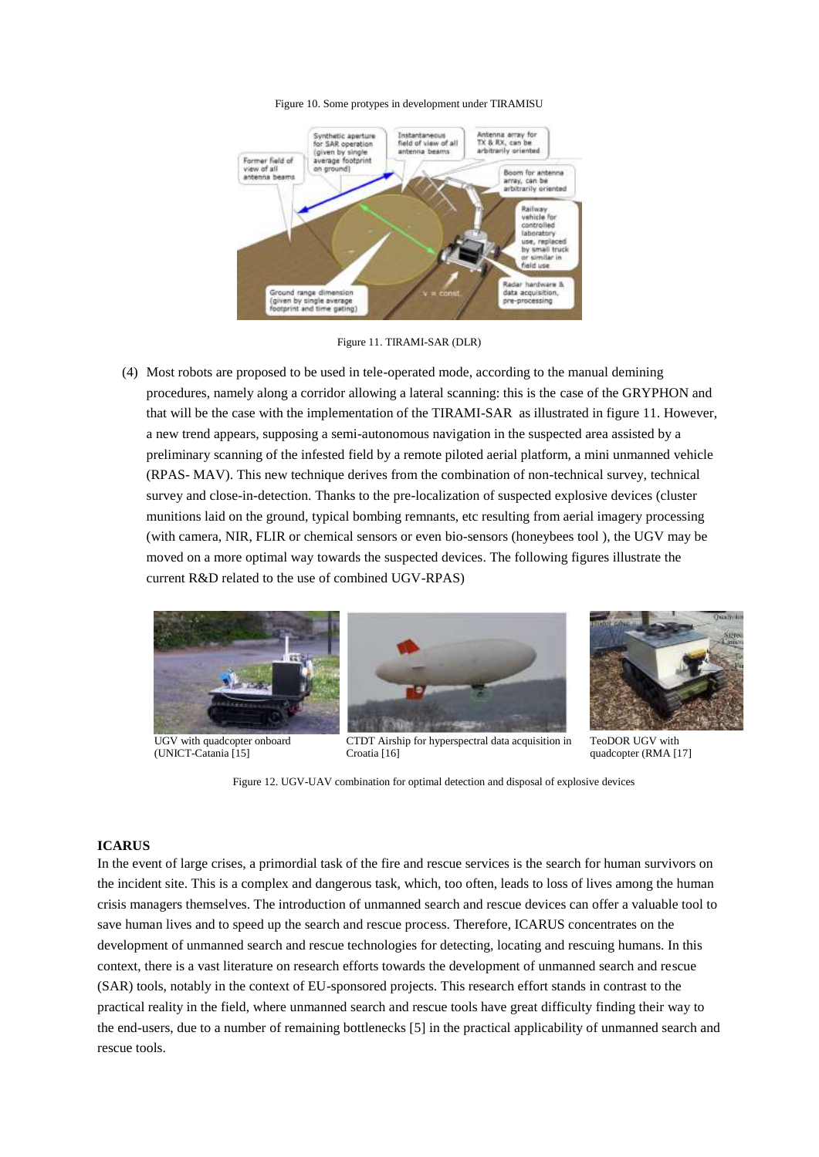#### Figure 10. Some protypes in development under TIRAMISU



Figure 11. TIRAMI-SAR (DLR)

(4) Most robots are proposed to be used in tele-operated mode, according to the manual demining procedures, namely along a corridor allowing a lateral scanning: this is the case of the GRYPHON and that will be the case with the implementation of the TIRAMI-SAR as illustrated in figure 11. However, a new trend appears, supposing a semi-autonomous navigation in the suspected area assisted by a preliminary scanning of the infested field by a remote piloted aerial platform, a mini unmanned vehicle (RPAS- MAV). This new technique derives from the combination of non-technical survey, technical survey and close-in-detection. Thanks to the pre-localization of suspected explosive devices (cluster munitions laid on the ground, typical bombing remnants, etc resulting from aerial imagery processing (with camera, NIR, FLIR or chemical sensors or even bio-sensors (honeybees tool ), the UGV may be moved on a more optimal way towards the suspected devices. The following figures illustrate the current R&D related to the use of combined UGV-RPAS)



UGV with quadcopter onboard (UNICT-Catania [15]



CTDT Airship for hyperspectral data acquisition in Croatia [16]



TeoDOR UGV with quadcopter (RMA [17]

Figure 12. UGV-UAV combination for optimal detection and disposal of explosive devices

#### **ICARUS**

In the event of large crises, a primordial task of the fire and rescue services is the search for human survivors on the incident site. This is a complex and dangerous task, which, too often, leads to loss of lives among the human crisis managers themselves. The introduction of unmanned search and rescue devices can offer a valuable tool to save human lives and to speed up the search and rescue process. Therefore, ICARUS concentrates on the development of unmanned search and rescue technologies for detecting, locating and rescuing humans. In this context, there is a vast literature on research efforts towards the development of unmanned search and rescue (SAR) tools, notably in the context of EU-sponsored projects. This research effort stands in contrast to the practical reality in the field, where unmanned search and rescue tools have great difficulty finding their way to the end-users, due to a number of remaining bottlenecks [5] in the practical applicability of unmanned search and rescue tools.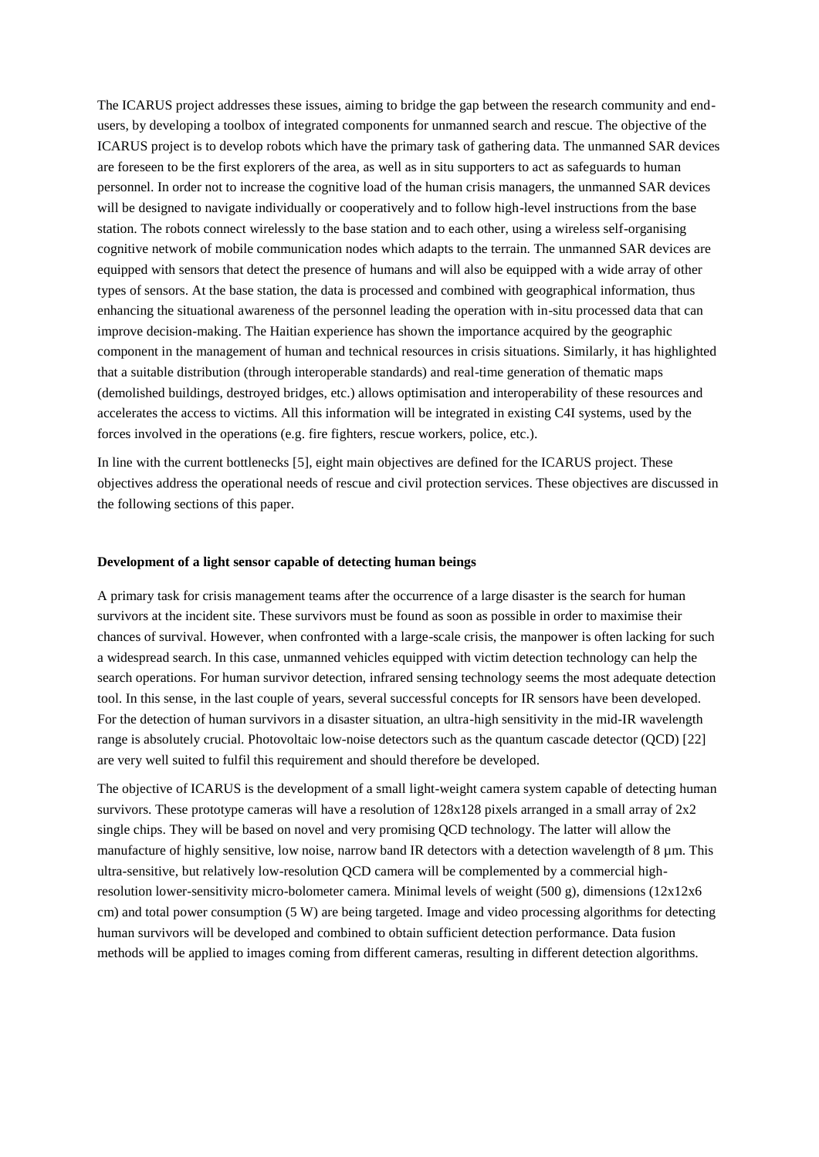The ICARUS project addresses these issues, aiming to bridge the gap between the research community and endusers, by developing a toolbox of integrated components for unmanned search and rescue. The objective of the ICARUS project is to develop robots which have the primary task of gathering data. The unmanned SAR devices are foreseen to be the first explorers of the area, as well as in situ supporters to act as safeguards to human personnel. In order not to increase the cognitive load of the human crisis managers, the unmanned SAR devices will be designed to navigate individually or cooperatively and to follow high-level instructions from the base station. The robots connect wirelessly to the base station and to each other, using a wireless self-organising cognitive network of mobile communication nodes which adapts to the terrain. The unmanned SAR devices are equipped with sensors that detect the presence of humans and will also be equipped with a wide array of other types of sensors. At the base station, the data is processed and combined with geographical information, thus enhancing the situational awareness of the personnel leading the operation with in-situ processed data that can improve decision-making. The Haitian experience has shown the importance acquired by the geographic component in the management of human and technical resources in crisis situations. Similarly, it has highlighted that a suitable distribution (through interoperable standards) and real-time generation of thematic maps (demolished buildings, destroyed bridges, etc.) allows optimisation and interoperability of these resources and accelerates the access to victims. All this information will be integrated in existing C4I systems, used by the forces involved in the operations (e.g. fire fighters, rescue workers, police, etc.).

In line with the current bottlenecks [5], eight main objectives are defined for the ICARUS project. These objectives address the operational needs of rescue and civil protection services. These objectives are discussed in the following sections of this paper.

#### **Development of a light sensor capable of detecting human beings**

A primary task for crisis management teams after the occurrence of a large disaster is the search for human survivors at the incident site. These survivors must be found as soon as possible in order to maximise their chances of survival. However, when confronted with a large-scale crisis, the manpower is often lacking for such a widespread search. In this case, unmanned vehicles equipped with victim detection technology can help the search operations. For human survivor detection, infrared sensing technology seems the most adequate detection tool. In this sense, in the last couple of years, several successful concepts for IR sensors have been developed. For the detection of human survivors in a disaster situation, an ultra-high sensitivity in the mid-IR wavelength range is absolutely crucial. Photovoltaic low-noise detectors such as the quantum cascade detector (QCD) [22] are very well suited to fulfil this requirement and should therefore be developed.

The objective of ICARUS is the development of a small light-weight camera system capable of detecting human survivors. These prototype cameras will have a resolution of  $128x128$  pixels arranged in a small array of  $2x2$ single chips. They will be based on novel and very promising QCD technology. The latter will allow the manufacture of highly sensitive, low noise, narrow band IR detectors with a detection wavelength of 8 µm. This ultra-sensitive, but relatively low-resolution QCD camera will be complemented by a commercial highresolution lower-sensitivity micro-bolometer camera. Minimal levels of weight (500 g), dimensions (12x12x6 cm) and total power consumption (5 W) are being targeted. Image and video processing algorithms for detecting human survivors will be developed and combined to obtain sufficient detection performance. Data fusion methods will be applied to images coming from different cameras, resulting in different detection algorithms.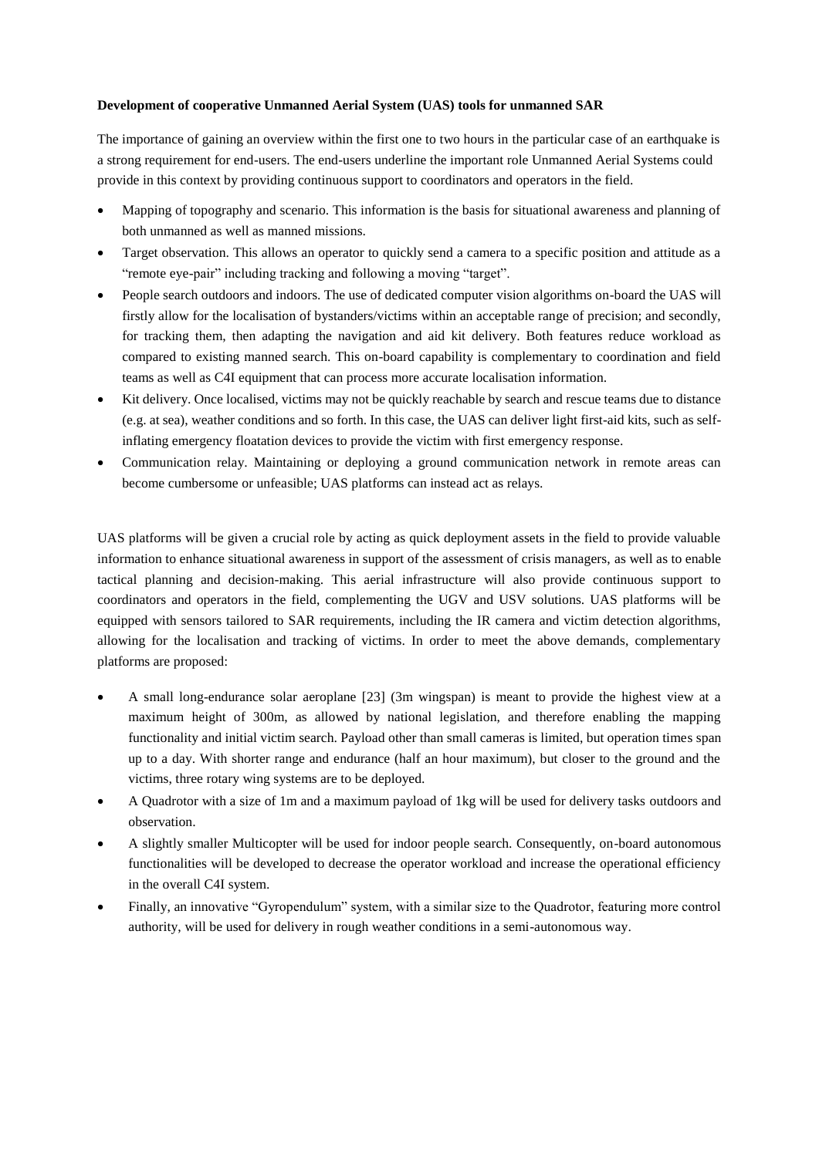### **Development of cooperative Unmanned Aerial System (UAS) tools for unmanned SAR**

The importance of gaining an overview within the first one to two hours in the particular case of an earthquake is a strong requirement for end-users. The end-users underline the important role Unmanned Aerial Systems could provide in this context by providing continuous support to coordinators and operators in the field.

- Mapping of topography and scenario. This information is the basis for situational awareness and planning of both unmanned as well as manned missions.
- Target observation. This allows an operator to quickly send a camera to a specific position and attitude as a "remote eye-pair" including tracking and following a moving "target".
- People search outdoors and indoors. The use of dedicated computer vision algorithms on-board the UAS will firstly allow for the localisation of bystanders/victims within an acceptable range of precision; and secondly, for tracking them, then adapting the navigation and aid kit delivery. Both features reduce workload as compared to existing manned search. This on-board capability is complementary to coordination and field teams as well as C4I equipment that can process more accurate localisation information.
- Kit delivery. Once localised, victims may not be quickly reachable by search and rescue teams due to distance (e.g. at sea), weather conditions and so forth. In this case, the UAS can deliver light first-aid kits, such as selfinflating emergency floatation devices to provide the victim with first emergency response.
- Communication relay. Maintaining or deploying a ground communication network in remote areas can become cumbersome or unfeasible; UAS platforms can instead act as relays.

UAS platforms will be given a crucial role by acting as quick deployment assets in the field to provide valuable information to enhance situational awareness in support of the assessment of crisis managers, as well as to enable tactical planning and decision-making. This aerial infrastructure will also provide continuous support to coordinators and operators in the field, complementing the UGV and USV solutions. UAS platforms will be equipped with sensors tailored to SAR requirements, including the IR camera and victim detection algorithms, allowing for the localisation and tracking of victims. In order to meet the above demands, complementary platforms are proposed:

- A small long-endurance solar aeroplane [23] (3m wingspan) is meant to provide the highest view at a maximum height of 300m, as allowed by national legislation, and therefore enabling the mapping functionality and initial victim search. Payload other than small cameras is limited, but operation times span up to a day. With shorter range and endurance (half an hour maximum), but closer to the ground and the victims, three rotary wing systems are to be deployed.
- A Quadrotor with a size of 1m and a maximum payload of 1kg will be used for delivery tasks outdoors and observation.
- A slightly smaller Multicopter will be used for indoor people search. Consequently, on-board autonomous functionalities will be developed to decrease the operator workload and increase the operational efficiency in the overall C4I system.
- Finally, an innovative "Gyropendulum" system, with a similar size to the Quadrotor, featuring more control authority, will be used for delivery in rough weather conditions in a semi-autonomous way.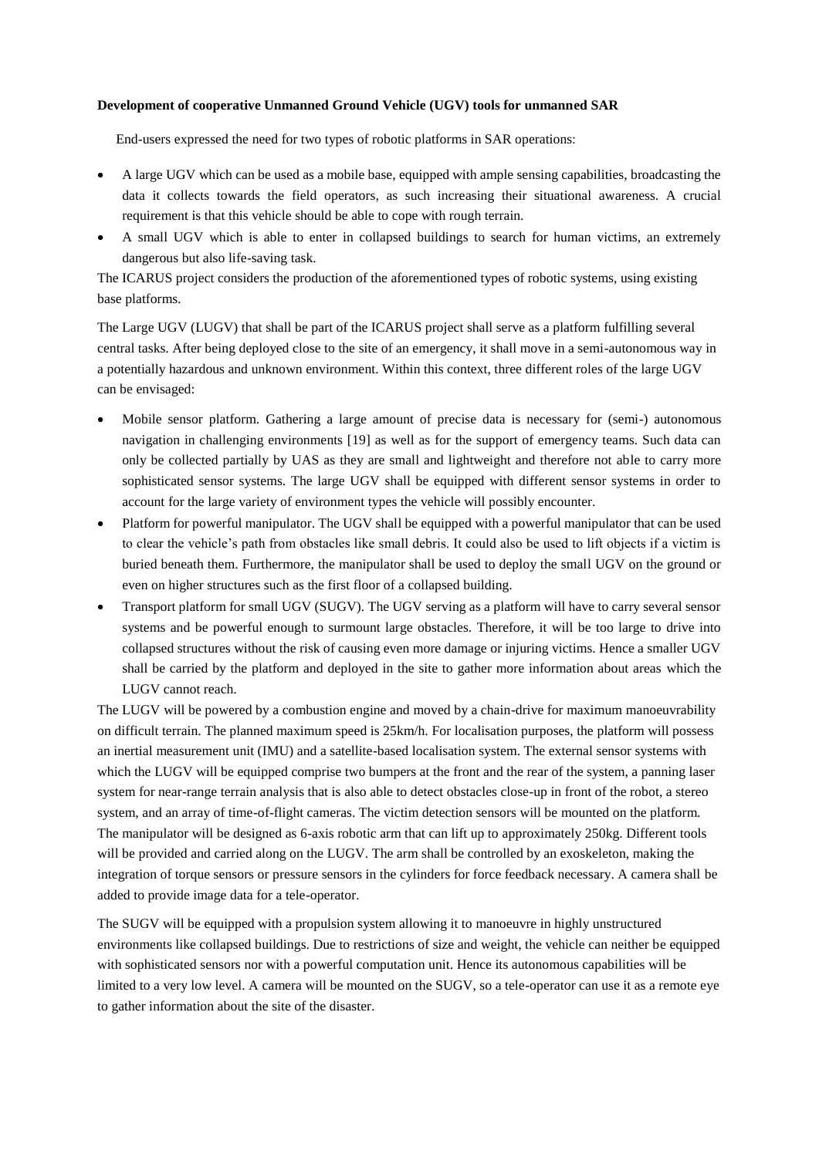### **Development of cooperative Unmanned Ground Vehicle (UGV) tools for unmanned SAR**

End-users expressed the need for two types of robotic platforms in SAR operations:

- A large UGV which can be used as a mobile base, equipped with ample sensing capabilities, broadcasting the data it collects towards the field operators, as such increasing their situational awareness. A crucial requirement is that this vehicle should be able to cope with rough terrain.
- A small UGV which is able to enter in collapsed buildings to search for human victims, an extremely dangerous but also life-saving task.

The ICARUS project considers the production of the aforementioned types of robotic systems, using existing base platforms.

The Large UGV (LUGV) that shall be part of the ICARUS project shall serve as a platform fulfilling several central tasks. After being deployed close to the site of an emergency, it shall move in a semi-autonomous way in a potentially hazardous and unknown environment. Within this context, three different roles of the large UGV can be envisaged:

- Mobile sensor platform. Gathering a large amount of precise data is necessary for (semi-) autonomous navigation in challenging environments [19] as well as for the support of emergency teams. Such data can only be collected partially by UAS as they are small and lightweight and therefore not able to carry more sophisticated sensor systems. The large UGV shall be equipped with different sensor systems in order to account for the large variety of environment types the vehicle will possibly encounter.
- Platform for powerful manipulator. The UGV shall be equipped with a powerful manipulator that can be used to clear the vehicle's path from obstacles like small debris. It could also be used to lift objects if a victim is buried beneath them. Furthermore, the manipulator shall be used to deploy the small UGV on the ground or even on higher structures such as the first floor of a collapsed building.
- Transport platform for small UGV (SUGV). The UGV serving as a platform will have to carry several sensor systems and be powerful enough to surmount large obstacles. Therefore, it will be too large to drive into collapsed structures without the risk of causing even more damage or injuring victims. Hence a smaller UGV shall be carried by the platform and deployed in the site to gather more information about areas which the LUGV cannot reach.

The LUGV will be powered by a combustion engine and moved by a chain-drive for maximum manoeuvrability on difficult terrain. The planned maximum speed is 25km/h. For localisation purposes, the platform will possess an inertial measurement unit (IMU) and a satellite-based localisation system. The external sensor systems with which the LUGV will be equipped comprise two bumpers at the front and the rear of the system, a panning laser system for near-range terrain analysis that is also able to detect obstacles close-up in front of the robot, a stereo system, and an array of time-of-flight cameras. The victim detection sensors will be mounted on the platform. The manipulator will be designed as 6-axis robotic arm that can lift up to approximately 250kg. Different tools will be provided and carried along on the LUGV. The arm shall be controlled by an exoskeleton, making the integration of torque sensors or pressure sensors in the cylinders for force feedback necessary. A camera shall be added to provide image data for a tele-operator.

The SUGV will be equipped with a propulsion system allowing it to manoeuvre in highly unstructured environments like collapsed buildings. Due to restrictions of size and weight, the vehicle can neither be equipped with sophisticated sensors nor with a powerful computation unit. Hence its autonomous capabilities will be limited to a very low level. A camera will be mounted on the SUGV, so a tele-operator can use it as a remote eye to gather information about the site of the disaster.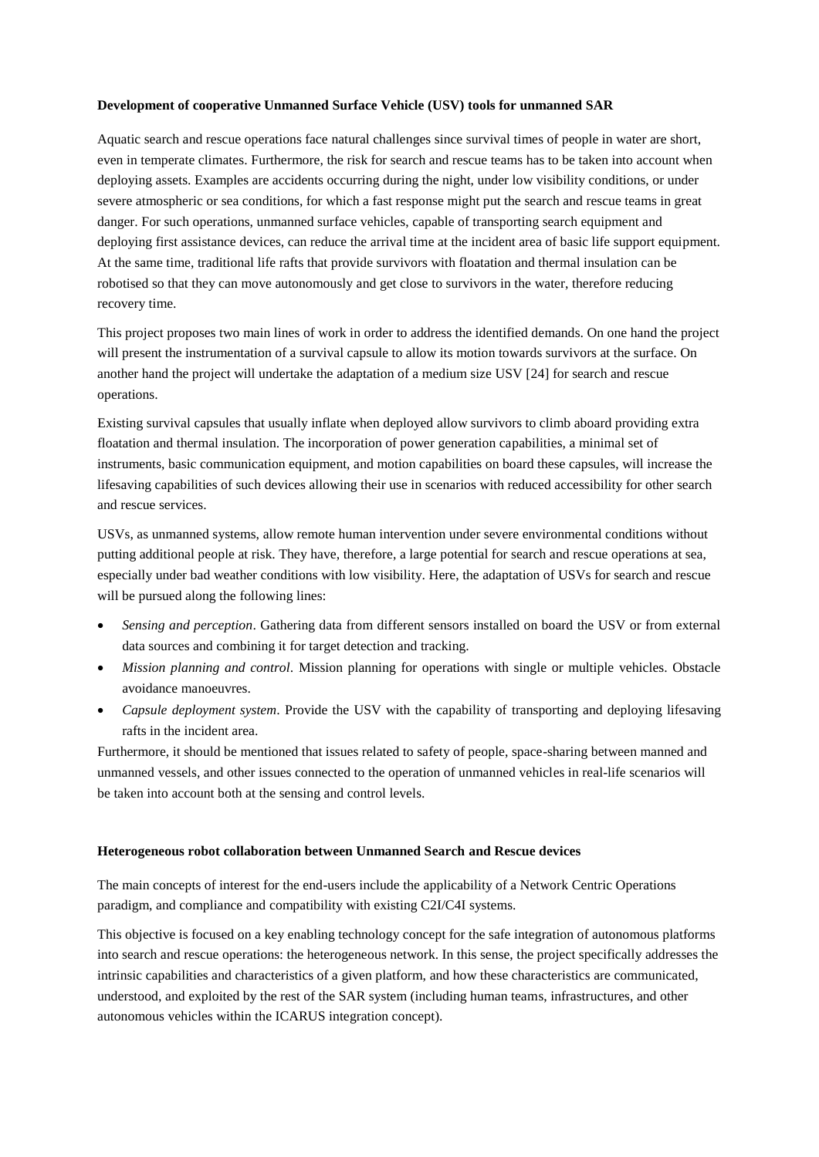#### **Development of cooperative Unmanned Surface Vehicle (USV) tools for unmanned SAR**

Aquatic search and rescue operations face natural challenges since survival times of people in water are short, even in temperate climates. Furthermore, the risk for search and rescue teams has to be taken into account when deploying assets. Examples are accidents occurring during the night, under low visibility conditions, or under severe atmospheric or sea conditions, for which a fast response might put the search and rescue teams in great danger. For such operations, unmanned surface vehicles, capable of transporting search equipment and deploying first assistance devices, can reduce the arrival time at the incident area of basic life support equipment. At the same time, traditional life rafts that provide survivors with floatation and thermal insulation can be robotised so that they can move autonomously and get close to survivors in the water, therefore reducing recovery time.

This project proposes two main lines of work in order to address the identified demands. On one hand the project will present the instrumentation of a survival capsule to allow its motion towards survivors at the surface. On another hand the project will undertake the adaptation of a medium size USV [24] for search and rescue operations.

Existing survival capsules that usually inflate when deployed allow survivors to climb aboard providing extra floatation and thermal insulation. The incorporation of power generation capabilities, a minimal set of instruments, basic communication equipment, and motion capabilities on board these capsules, will increase the lifesaving capabilities of such devices allowing their use in scenarios with reduced accessibility for other search and rescue services.

USVs, as unmanned systems, allow remote human intervention under severe environmental conditions without putting additional people at risk. They have, therefore, a large potential for search and rescue operations at sea, especially under bad weather conditions with low visibility. Here, the adaptation of USVs for search and rescue will be pursued along the following lines:

- *Sensing and perception*. Gathering data from different sensors installed on board the USV or from external data sources and combining it for target detection and tracking.
- *Mission planning and control*. Mission planning for operations with single or multiple vehicles. Obstacle avoidance manoeuvres.
- *Capsule deployment system*. Provide the USV with the capability of transporting and deploying lifesaving rafts in the incident area.

Furthermore, it should be mentioned that issues related to safety of people, space-sharing between manned and unmanned vessels, and other issues connected to the operation of unmanned vehicles in real-life scenarios will be taken into account both at the sensing and control levels.

### **Heterogeneous robot collaboration between Unmanned Search and Rescue devices**

The main concepts of interest for the end-users include the applicability of a Network Centric Operations paradigm, and compliance and compatibility with existing C2I/C4I systems.

This objective is focused on a key enabling technology concept for the safe integration of autonomous platforms into search and rescue operations: the heterogeneous network. In this sense, the project specifically addresses the intrinsic capabilities and characteristics of a given platform, and how these characteristics are communicated, understood, and exploited by the rest of the SAR system (including human teams, infrastructures, and other autonomous vehicles within the ICARUS integration concept).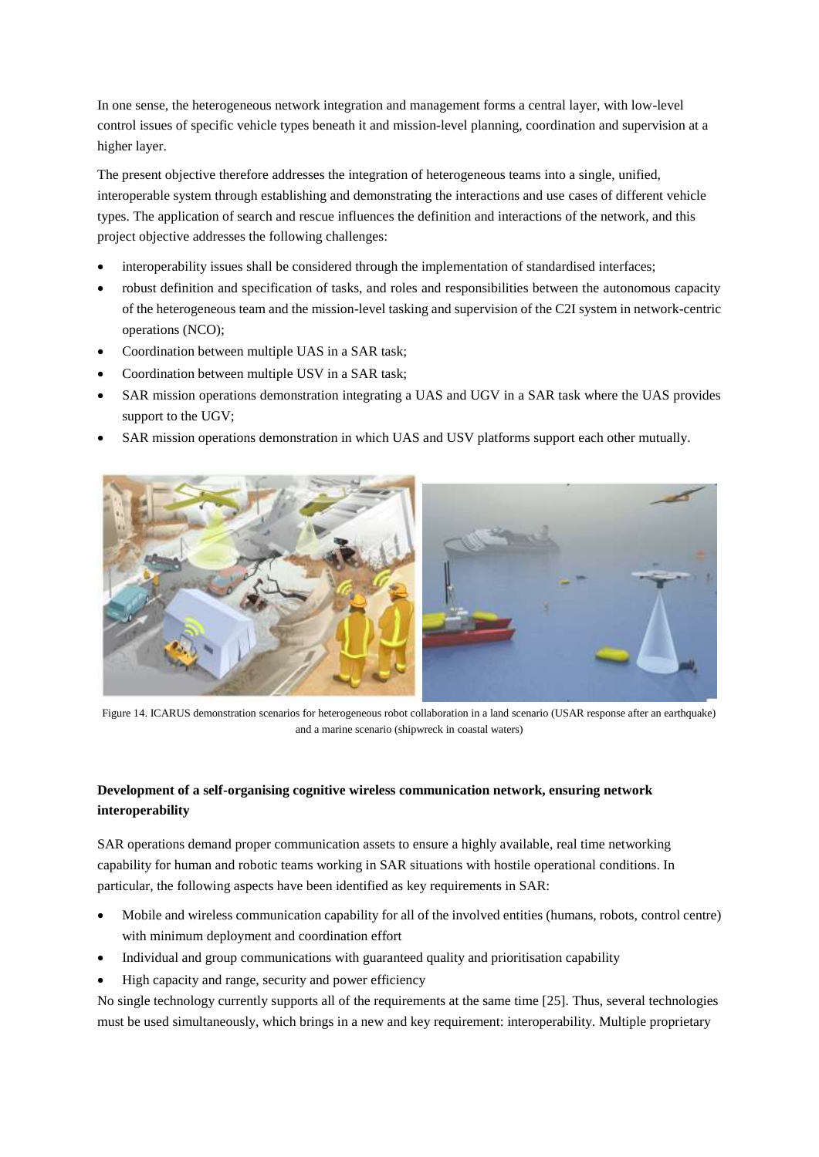In one sense, the heterogeneous network integration and management forms a central layer, with low-level control issues of specific vehicle types beneath it and mission-level planning, coordination and supervision at a higher layer.

The present objective therefore addresses the integration of heterogeneous teams into a single, unified, interoperable system through establishing and demonstrating the interactions and use cases of different vehicle types. The application of search and rescue influences the definition and interactions of the network, and this project objective addresses the following challenges:

- interoperability issues shall be considered through the implementation of standardised interfaces;
- robust definition and specification of tasks, and roles and responsibilities between the autonomous capacity of the heterogeneous team and the mission-level tasking and supervision of the C2I system in network-centric operations (NCO);
- Coordination between multiple UAS in a SAR task;
- Coordination between multiple USV in a SAR task;
- SAR mission operations demonstration integrating a UAS and UGV in a SAR task where the UAS provides support to the UGV;
- SAR mission operations demonstration in which UAS and USV platforms support each other mutually.



Figure 14. ICARUS demonstration scenarios for heterogeneous robot collaboration in a land scenario (USAR response after an earthquake) and a marine scenario (shipwreck in coastal waters)

# **Development of a self-organising cognitive wireless communication network, ensuring network interoperability**

SAR operations demand proper communication assets to ensure a highly available, real time networking capability for human and robotic teams working in SAR situations with hostile operational conditions. In particular, the following aspects have been identified as key requirements in SAR:

- Mobile and wireless communication capability for all of the involved entities (humans, robots, control centre) with minimum deployment and coordination effort
- Individual and group communications with guaranteed quality and prioritisation capability
- High capacity and range, security and power efficiency

No single technology currently supports all of the requirements at the same time [25]. Thus, several technologies must be used simultaneously, which brings in a new and key requirement: interoperability. Multiple proprietary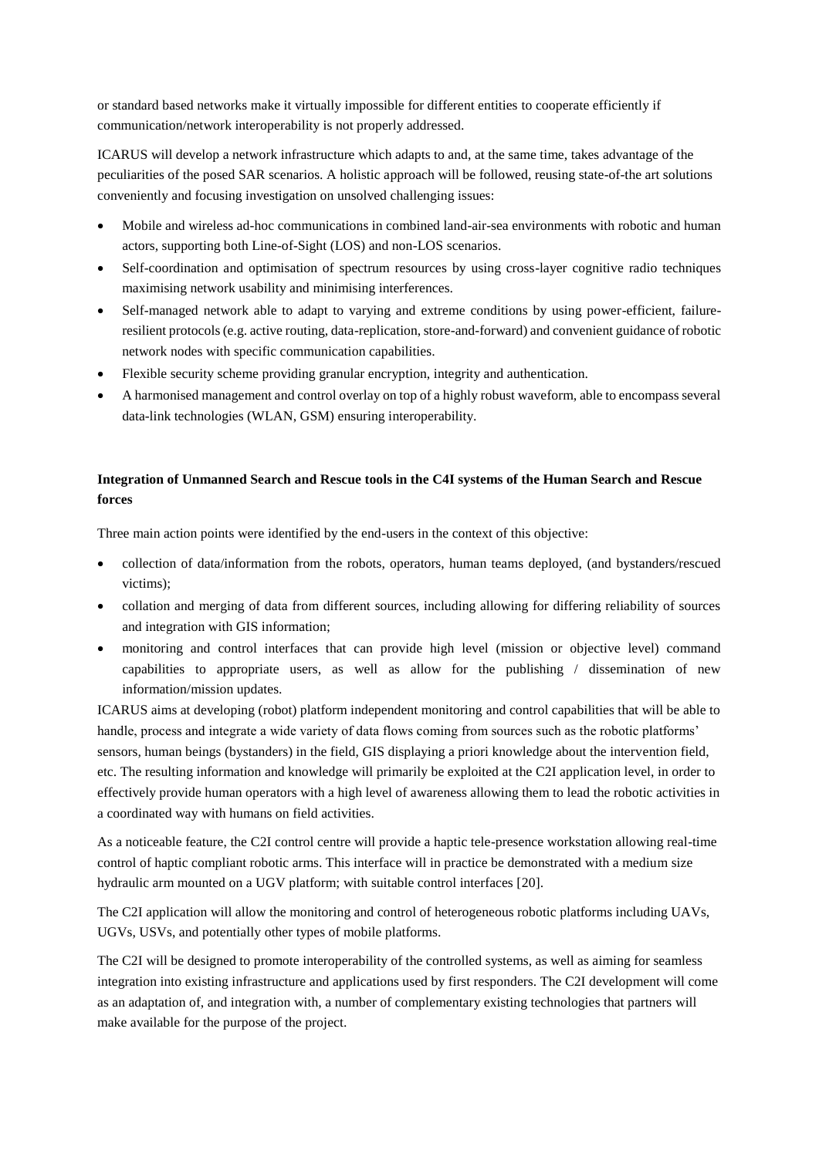or standard based networks make it virtually impossible for different entities to cooperate efficiently if communication/network interoperability is not properly addressed.

ICARUS will develop a network infrastructure which adapts to and, at the same time, takes advantage of the peculiarities of the posed SAR scenarios. A holistic approach will be followed, reusing state-of-the art solutions conveniently and focusing investigation on unsolved challenging issues:

- Mobile and wireless ad-hoc communications in combined land-air-sea environments with robotic and human actors, supporting both Line-of-Sight (LOS) and non-LOS scenarios.
- Self-coordination and optimisation of spectrum resources by using cross-layer cognitive radio techniques maximising network usability and minimising interferences.
- Self-managed network able to adapt to varying and extreme conditions by using power-efficient, failureresilient protocols (e.g. active routing, data-replication, store-and-forward) and convenient guidance of robotic network nodes with specific communication capabilities.
- Flexible security scheme providing granular encryption, integrity and authentication.
- A harmonised management and control overlay on top of a highly robust waveform, able to encompass several data-link technologies (WLAN, GSM) ensuring interoperability.

## **Integration of Unmanned Search and Rescue tools in the C4I systems of the Human Search and Rescue forces**

Three main action points were identified by the end-users in the context of this objective:

- collection of data/information from the robots, operators, human teams deployed, (and bystanders/rescued victims);
- collation and merging of data from different sources, including allowing for differing reliability of sources and integration with GIS information;
- monitoring and control interfaces that can provide high level (mission or objective level) command capabilities to appropriate users, as well as allow for the publishing / dissemination of new information/mission updates.

ICARUS aims at developing (robot) platform independent monitoring and control capabilities that will be able to handle, process and integrate a wide variety of data flows coming from sources such as the robotic platforms' sensors, human beings (bystanders) in the field, GIS displaying a priori knowledge about the intervention field, etc. The resulting information and knowledge will primarily be exploited at the C2I application level, in order to effectively provide human operators with a high level of awareness allowing them to lead the robotic activities in a coordinated way with humans on field activities.

As a noticeable feature, the C2I control centre will provide a haptic tele-presence workstation allowing real-time control of haptic compliant robotic arms. This interface will in practice be demonstrated with a medium size hydraulic arm mounted on a UGV platform; with suitable control interfaces [20].

The C2I application will allow the monitoring and control of heterogeneous robotic platforms including UAVs, UGVs, USVs, and potentially other types of mobile platforms.

The C2I will be designed to promote interoperability of the controlled systems, as well as aiming for seamless integration into existing infrastructure and applications used by first responders. The C2I development will come as an adaptation of, and integration with, a number of complementary existing technologies that partners will make available for the purpose of the project.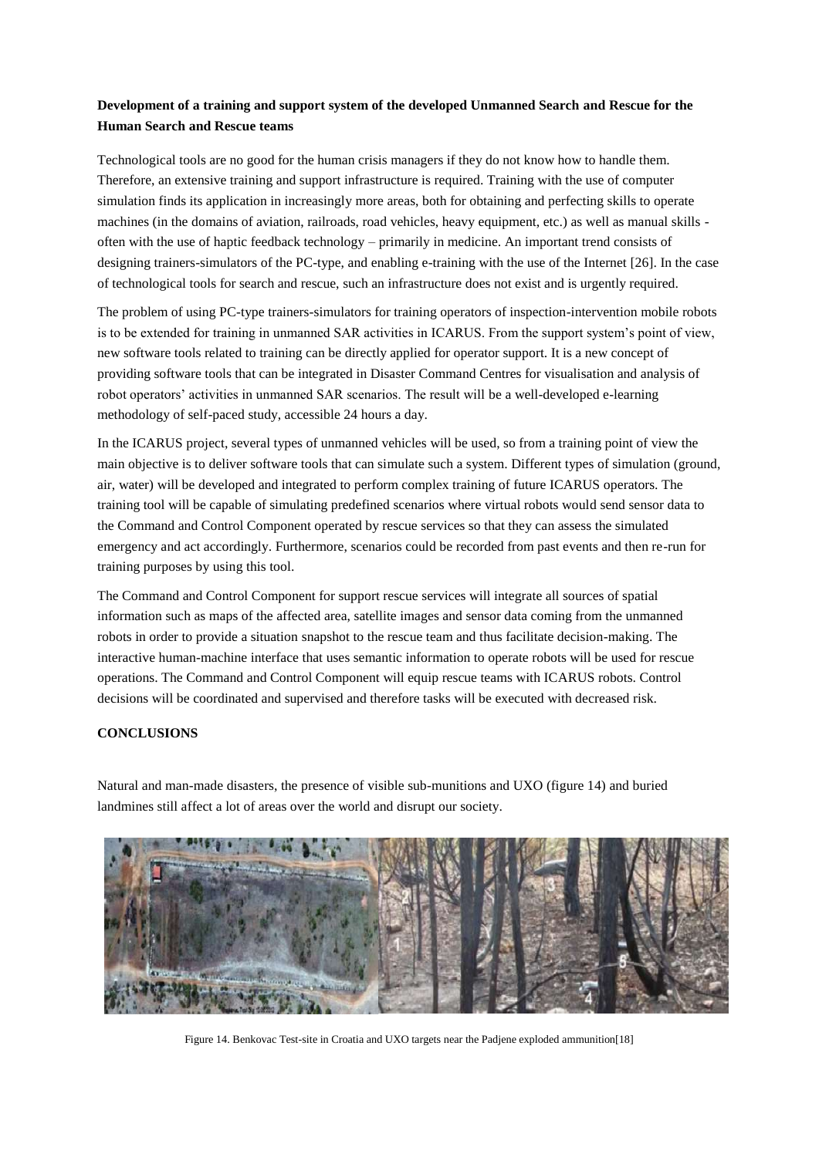## **Development of a training and support system of the developed Unmanned Search and Rescue for the Human Search and Rescue teams**

Technological tools are no good for the human crisis managers if they do not know how to handle them. Therefore, an extensive training and support infrastructure is required. Training with the use of computer simulation finds its application in increasingly more areas, both for obtaining and perfecting skills to operate machines (in the domains of aviation, railroads, road vehicles, heavy equipment, etc.) as well as manual skills often with the use of haptic feedback technology – primarily in medicine. An important trend consists of designing trainers-simulators of the PC-type, and enabling e-training with the use of the Internet [26]. In the case of technological tools for search and rescue, such an infrastructure does not exist and is urgently required.

The problem of using PC-type trainers-simulators for training operators of inspection-intervention mobile robots is to be extended for training in unmanned SAR activities in ICARUS. From the support system's point of view, new software tools related to training can be directly applied for operator support. It is a new concept of providing software tools that can be integrated in Disaster Command Centres for visualisation and analysis of robot operators' activities in unmanned SAR scenarios. The result will be a well-developed e-learning methodology of self-paced study, accessible 24 hours a day.

In the ICARUS project, several types of unmanned vehicles will be used, so from a training point of view the main objective is to deliver software tools that can simulate such a system. Different types of simulation (ground, air, water) will be developed and integrated to perform complex training of future ICARUS operators. The training tool will be capable of simulating predefined scenarios where virtual robots would send sensor data to the Command and Control Component operated by rescue services so that they can assess the simulated emergency and act accordingly. Furthermore, scenarios could be recorded from past events and then re-run for training purposes by using this tool.

The Command and Control Component for support rescue services will integrate all sources of spatial information such as maps of the affected area, satellite images and sensor data coming from the unmanned robots in order to provide a situation snapshot to the rescue team and thus facilitate decision-making. The interactive human-machine interface that uses semantic information to operate robots will be used for rescue operations. The Command and Control Component will equip rescue teams with ICARUS robots. Control decisions will be coordinated and supervised and therefore tasks will be executed with decreased risk.

## **CONCLUSIONS**

Natural and man-made disasters, the presence of visible sub-munitions and UXO (figure 14) and buried landmines still affect a lot of areas over the world and disrupt our society.



Figure 14. Benkovac Test-site in Croatia and UXO targets near the Padjene exploded ammunition[18]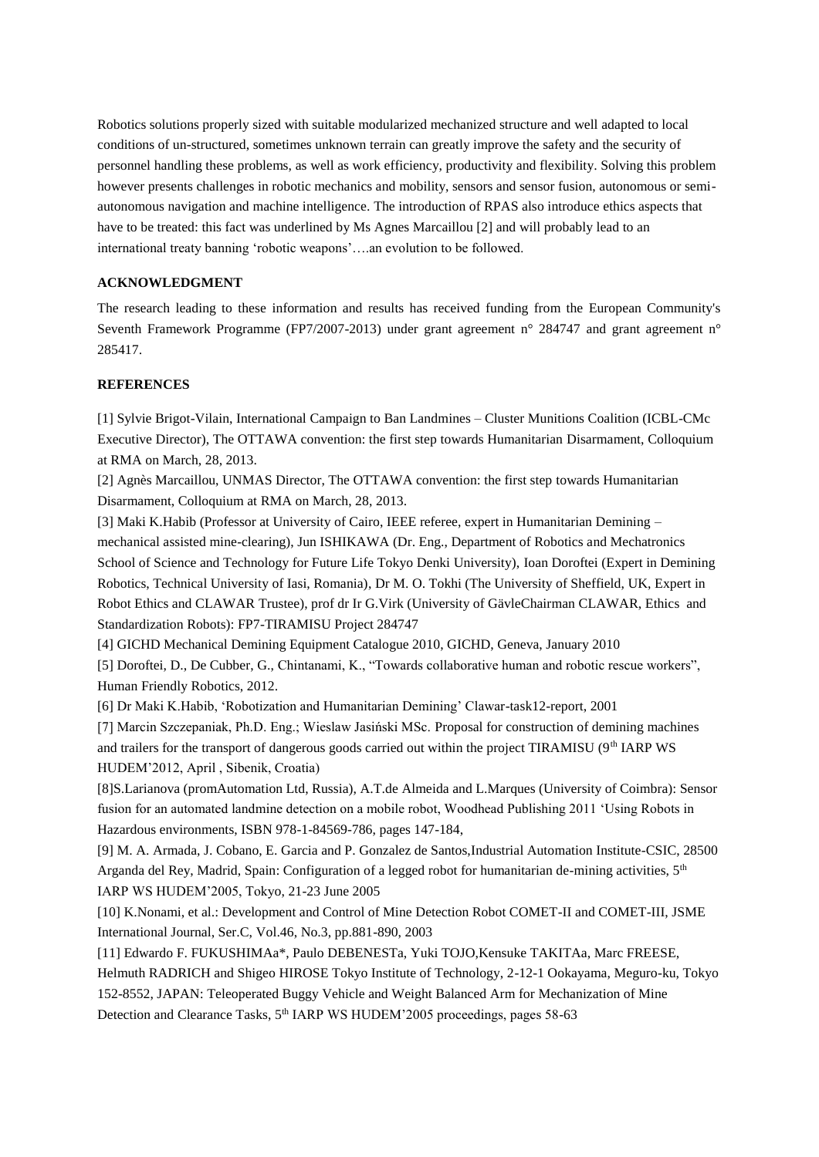Robotics solutions properly sized with suitable modularized mechanized structure and well adapted to local conditions of un-structured, sometimes unknown terrain can greatly improve the safety and the security of personnel handling these problems, as well as work efficiency, productivity and flexibility. Solving this problem however presents challenges in robotic mechanics and mobility, sensors and sensor fusion, autonomous or semiautonomous navigation and machine intelligence. The introduction of RPAS also introduce ethics aspects that have to be treated: this fact was underlined by Ms Agnes Marcaillou [2] and will probably lead to an international treaty banning 'robotic weapons'….an evolution to be followed.

## **ACKNOWLEDGMENT**

The research leading to these information and results has received funding from the European Community's Seventh Framework Programme (FP7/2007-2013) under grant agreement n° 284747 and grant agreement n° 285417.

# **REFERENCES**

[1] Sylvie Brigot-Vilain, International Campaign to Ban Landmines – Cluster Munitions Coalition (ICBL-CMc Executive Director), The OTTAWA convention: the first step towards Humanitarian Disarmament, Colloquium at RMA on March, 28, 2013.

[2] Agnès Marcaillou, UNMAS Director, The OTTAWA convention: the first step towards Humanitarian Disarmament, Colloquium at RMA on March, 28, 2013.

[3] Maki K.Habib (Professor at University of Cairo, IEEE referee, expert in Humanitarian Demining – mechanical assisted mine-clearing), Jun ISHIKAWA (Dr. Eng., Department of Robotics and Mechatronics School of Science and Technology for Future Life Tokyo Denki University), Ioan Doroftei (Expert in Demining Robotics, Technical University of Iasi, Romania), Dr M. O. Tokhi (The University of Sheffield, UK, Expert in Robot Ethics and CLAWAR Trustee), prof dr Ir G.Virk (University of GävleChairman CLAWAR, Ethics and Standardization Robots): FP7-TIRAMISU Project 284747

[4] GICHD Mechanical Demining Equipment Catalogue 2010, GICHD, Geneva, January 2010

[5] Doroftei, D., De Cubber, G., Chintanami, K., "Towards collaborative human and robotic rescue workers", Human Friendly Robotics, 2012.

[6] Dr Maki K.Habib, 'Robotization and Humanitarian Demining' Clawar-task12-report, 2001

[7] Marcin Szczepaniak, Ph.D. Eng.; Wieslaw Jasiński MSc. Proposal for construction of demining machines and trailers for the transport of dangerous goods carried out within the project TIRAMISU (9<sup>th</sup> IARP WS) HUDEM'2012, April , Sibenik, Croatia)

[8]S.Larianova (promAutomation Ltd, Russia), A.T.de Almeida and L.Marques (University of Coimbra): Sensor fusion for an automated landmine detection on a mobile robot, Woodhead Publishing 2011 'Using Robots in Hazardous environments, ISBN 978-1-84569-786, pages 147-184,

[9] M. A. Armada, J. Cobano, E. Garcia and P. Gonzalez de Santos,Industrial Automation Institute-CSIC, 28500 Arganda del Rey, Madrid, Spain: Configuration of a legged robot for humanitarian de-mining activities, 5<sup>th</sup> IARP WS HUDEM'2005, Tokyo, 21-23 June 2005

[10] K.Nonami, et al.: Development and Control of Mine Detection Robot COMET-II and COMET-III, JSME International Journal, Ser.C, Vol.46, No.3, pp.881-890, 2003

[11] Edwardo F. FUKUSHIMAa\*, Paulo DEBENESTa, Yuki TOJO,Kensuke TAKITAa, Marc FREESE, Helmuth RADRICH and Shigeo HIROSE Tokyo Institute of Technology, 2-12-1 Ookayama, Meguro-ku, Tokyo 152-8552, JAPAN: Teleoperated Buggy Vehicle and Weight Balanced Arm for Mechanization of Mine Detection and Clearance Tasks, 5<sup>th</sup> IARP WS HUDEM'2005 proceedings, pages 58-63